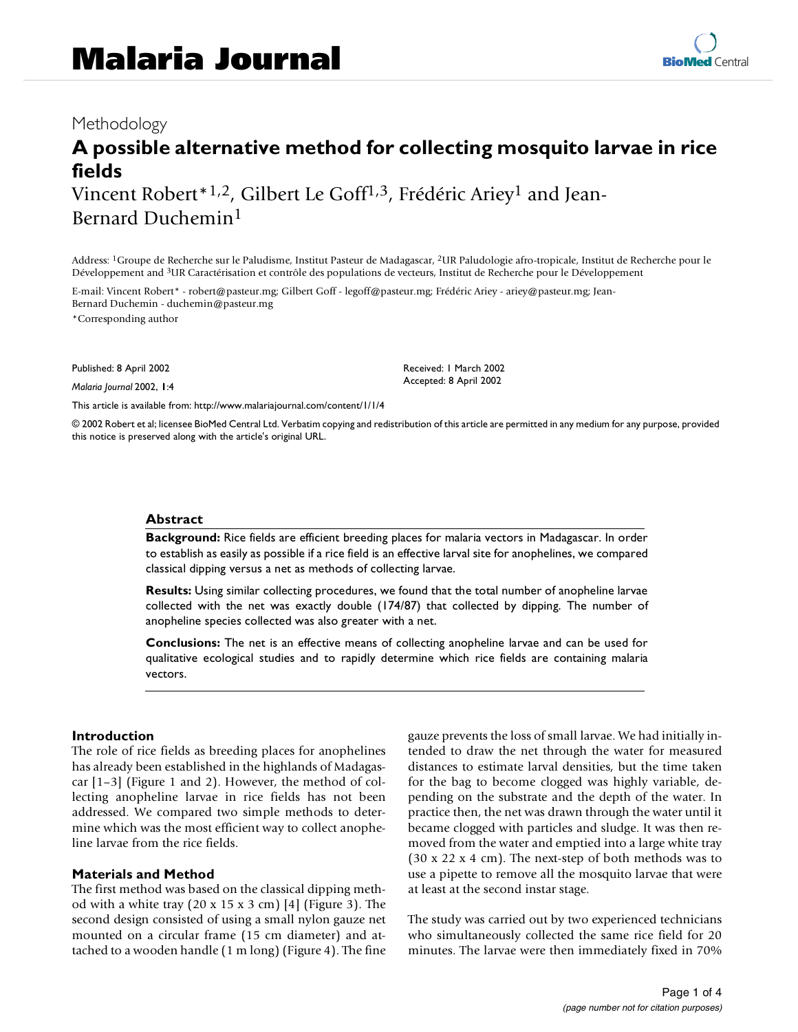# Methodology

# **A possible alternative method for collecting mosquito larvae in rice fields** Vincent Robert<sup>\*1,2</sup>, Gilbert Le Goff<sup>1,3</sup>, Frédéric Ariey<sup>1</sup> and Jean-

Bernard Duchemin1

Address: 1Groupe de Recherche sur le Paludisme, Institut Pasteur de Madagascar, 2UR Paludologie afro-tropicale, Institut de Recherche pour le Développement and 3UR Caractérisation et contrôle des populations de vecteurs, Institut de Recherche pour le Développement

E-mail: Vincent Robert\* - robert@pasteur.mg; Gilbert Goff - legoff@pasteur.mg; Frédéric Ariey - ariey@pasteur.mg; Jean-Bernard Duchemin - duchemin@pasteur.mg \*Corresponding author

Published: 8 April 2002

*Malaria Journal* 2002, **1**:4

[This article is available from: http://www.malariajournal.com/content/1/1/4](http://www.malariajournal.com/content/1/1/4)

© 2002 Robert et al; licensee BioMed Central Ltd. Verbatim copying and redistribution of this article are permitted in any medium for any purpose, provided this notice is preserved along with the article's original URL.

Received: 1 March 2002 Accepted: 8 April 2002

#### **Abstract**

**Background:** Rice fields are efficient breeding places for malaria vectors in Madagascar. In order to establish as easily as possible if a rice field is an effective larval site for anophelines, we compared classical dipping versus a net as methods of collecting larvae.

**Results:** Using similar collecting procedures, we found that the total number of anopheline larvae collected with the net was exactly double (174/87) that collected by dipping. The number of anopheline species collected was also greater with a net.

**Conclusions:** The net is an effective means of collecting anopheline larvae and can be used for qualitative ecological studies and to rapidly determine which rice fields are containing malaria vectors.

# **Introduction**

The role of rice fields as breeding places for anophelines has already been established in the highlands of Madagascar [1–3] (Figure [1](#page-1-0) and [2](#page-1-1)). However, the method of collecting anopheline larvae in rice fields has not been addressed. We compared two simple methods to determine which was the most efficient way to collect anopheline larvae from the rice fields.

# **Materials and Method**

The first method was based on the classical dipping method with a white tray  $(20 \times 15 \times 3 \text{ cm})$  $(20 \times 15 \times 3 \text{ cm})$  $(20 \times 15 \times 3 \text{ cm})$  [4] (Figure 3). The second design consisted of using a small nylon gauze net mounted on a circular frame (15 cm diameter) and attached to a wooden handle (1 m long) (Figure [4\)](#page-1-3). The fine gauze prevents the loss of small larvae. We had initially intended to draw the net through the water for measured distances to estimate larval densities, but the time taken for the bag to become clogged was highly variable, depending on the substrate and the depth of the water. In practice then, the net was drawn through the water until it became clogged with particles and sludge. It was then removed from the water and emptied into a large white tray (30 x 22 x 4 cm). The next-step of both methods was to use a pipette to remove all the mosquito larvae that were at least at the second instar stage.

The study was carried out by two experienced technicians who simultaneously collected the same rice field for 20 minutes. The larvae were then immediately fixed in 70%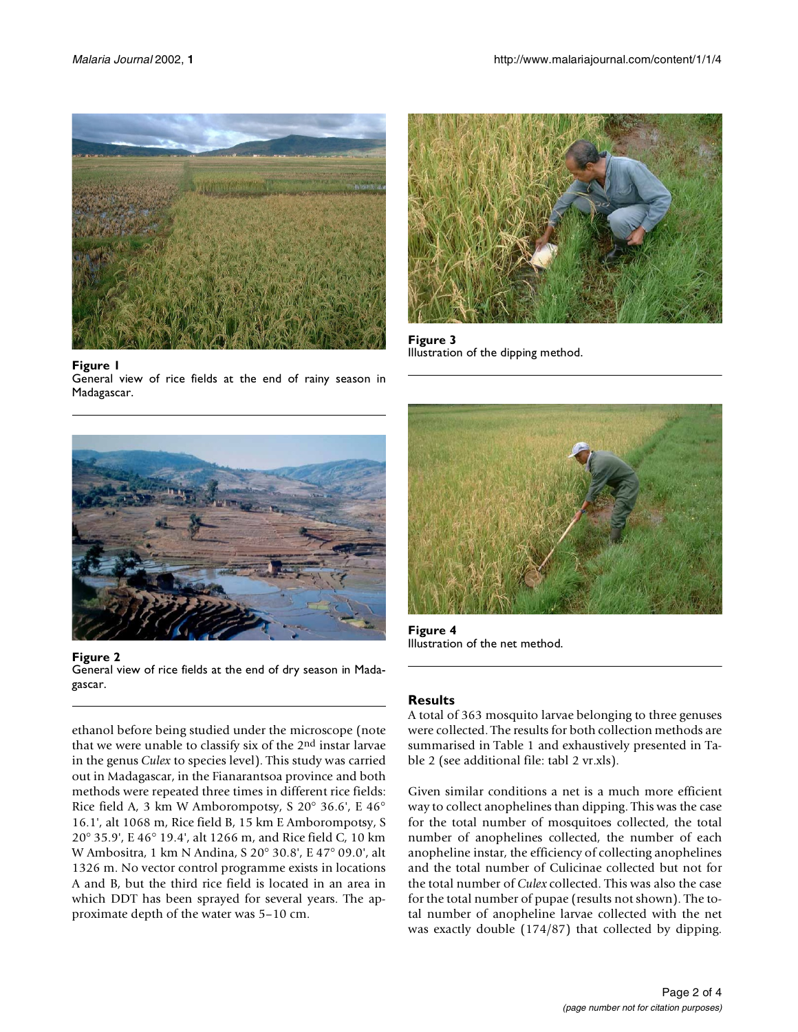

#### <span id="page-1-0"></span>**Figure 1**

General view of rice fields at the end of rainy season in Madagascar.



**Figure 2** General view of rice fields at the end of dry season in Madagascar.

<span id="page-1-1"></span>ethanol before being studied under the microscope (note that we were unable to classify six of the 2nd instar larvae in the genus *Culex* to species level). This study was carried out in Madagascar, in the Fianarantsoa province and both methods were repeated three times in different rice fields: Rice field A, 3 km W Amborompotsy, S 20° 36.6', E 46° 16.1', alt 1068 m, Rice field B, 15 km E Amborompotsy, S 20° 35.9', E 46° 19.4', alt 1266 m, and Rice field C, 10 km W Ambositra, 1 km N Andina, S 20° 30.8', E 47° 09.0', alt 1326 m. No vector control programme exists in locations A and B, but the third rice field is located in an area in which DDT has been sprayed for several years. The approximate depth of the water was 5–10 cm.



**Figure 3** Illustration of the dipping method.

<span id="page-1-2"></span>

**Figure 4** Illustration of the net method.

# <span id="page-1-3"></span>**Results**

A total of 363 mosquito larvae belonging to three genuses were collected. The results for both collection methods are summarised in Table 1 and exhaustively presented in Table 2 (see additional file: tabl 2 vr.xls).

Given similar conditions a net is a much more efficient way to collect anophelines than dipping. This was the case for the total number of mosquitoes collected, the total number of anophelines collected, the number of each anopheline instar, the efficiency of collecting anophelines and the total number of Culicinae collected but not for the total number of *Culex* collected. This was also the case for the total number of pupae (results not shown). The total number of anopheline larvae collected with the net was exactly double (174/87) that collected by dipping.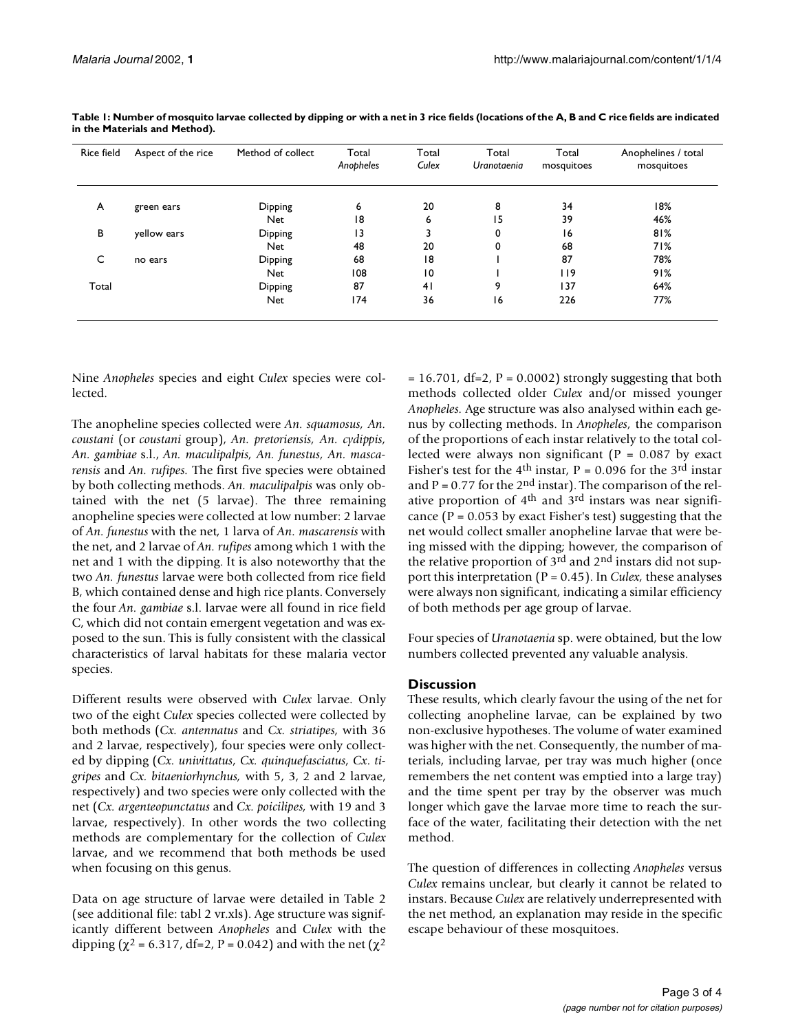| Rice field | Aspect of the rice | Method of collect | Total<br>Anopheles | Total<br>Culex  | Total<br>Uranotaenia | Total<br>mosquitoes | Anophelines / total<br>mosquitoes |
|------------|--------------------|-------------------|--------------------|-----------------|----------------------|---------------------|-----------------------------------|
| A          | green ears         | Dipping           | 6                  | 20              | 8                    | 34                  | 18%                               |
|            |                    | Net               | 18                 | 6               | 15                   | 39                  | 46%                               |
| В          | yellow ears        | Dipping           | 13                 | 3               | 0                    | 16                  | 81%                               |
|            |                    | <b>Net</b>        | 48                 | 20              | 0                    | 68                  | 71%                               |
| C          | no ears            | Dipping           | 68                 | 18              |                      | 87                  | 78%                               |
|            |                    | <b>Net</b>        | 108                | $\overline{10}$ |                      | l 19                | 91%                               |
| Total      |                    | Dipping           | 87                 | 4 <sub>1</sub>  | 9                    | 137                 | 64%                               |
|            |                    | <b>Net</b>        | 174                | 36              | 16                   | 226                 | 77%                               |

**Table 1: Number of mosquito larvae collected by dipping or with a net in 3 rice fields (locations of the A, B and C rice fields are indicated in the Materials and Method).**

Nine *Anopheles* species and eight *Culex* species were collected.

The anopheline species collected were *An. squamosus, An. coustani* (or *coustani* group), *An. pretoriensis, An. cydippis, An. gambiae* s.l., *An. maculipalpis, An. funestus, An. mascarensis* and *An. rufipes.* The first five species were obtained by both collecting methods. *An. maculipalpis* was only obtained with the net (5 larvae). The three remaining anopheline species were collected at low number: 2 larvae of *An. funestus* with the net, 1 larva of *An. mascarensis* with the net, and 2 larvae of *An. rufipes* among which 1 with the net and 1 with the dipping. It is also noteworthy that the two *An. funestus* larvae were both collected from rice field B, which contained dense and high rice plants. Conversely the four *An. gambiae* s.l. larvae were all found in rice field C, which did not contain emergent vegetation and was exposed to the sun. This is fully consistent with the classical characteristics of larval habitats for these malaria vector species.

Different results were observed with *Culex* larvae. Only two of the eight *Culex* species collected were collected by both methods (*Cx. antennatus* and *Cx. striatipes,* with 36 and 2 larvae, respectively), four species were only collected by dipping (*Cx. univittatus, Cx. quinquefasciatus, Cx. tigripes* and *Cx. bitaeniorhynchus,* with 5, 3, 2 and 2 larvae, respectively) and two species were only collected with the net (*Cx. argenteopunctatus* and *Cx. poicilipes,* with 19 and 3 larvae, respectively). In other words the two collecting methods are complementary for the collection of *Culex* larvae, and we recommend that both methods be used when focusing on this genus.

Data on age structure of larvae were detailed in Table 2 (see additional file: tabl 2 vr.xls). Age structure was significantly different between *Anopheles* and *Culex* with the dipping ( $\chi^2$  = 6.317, df=2, P = 0.042) and with the net ( $\chi^2$ 

 $= 16.701$ , df=2, P = 0.0002) strongly suggesting that both methods collected older *Culex* and/or missed younger *Anopheles.* Age structure was also analysed within each genus by collecting methods. In *Anopheles,* the comparison of the proportions of each instar relatively to the total collected were always non significant (P = 0.087 by exact Fisher's test for the 4<sup>th</sup> instar,  $P = 0.096$  for the 3<sup>rd</sup> instar and  $P = 0.77$  for the 2<sup>nd</sup> instar). The comparison of the relative proportion of  $4<sup>th</sup>$  and  $3<sup>rd</sup>$  instars was near significance ( $P = 0.053$  by exact Fisher's test) suggesting that the net would collect smaller anopheline larvae that were being missed with the dipping; however, the comparison of the relative proportion of 3<sup>rd</sup> and 2<sup>nd</sup> instars did not support this interpretation (P = 0.45). In *Culex,* these analyses were always non significant, indicating a similar efficiency of both methods per age group of larvae.

Four species of *Uranotaenia* sp. were obtained, but the low numbers collected prevented any valuable analysis.

#### **Discussion**

These results, which clearly favour the using of the net for collecting anopheline larvae, can be explained by two non-exclusive hypotheses. The volume of water examined was higher with the net. Consequently, the number of materials, including larvae, per tray was much higher (once remembers the net content was emptied into a large tray) and the time spent per tray by the observer was much longer which gave the larvae more time to reach the surface of the water, facilitating their detection with the net method.

The question of differences in collecting *Anopheles* versus *Culex* remains unclear, but clearly it cannot be related to instars. Because *Culex* are relatively underrepresented with the net method, an explanation may reside in the specific escape behaviour of these mosquitoes.